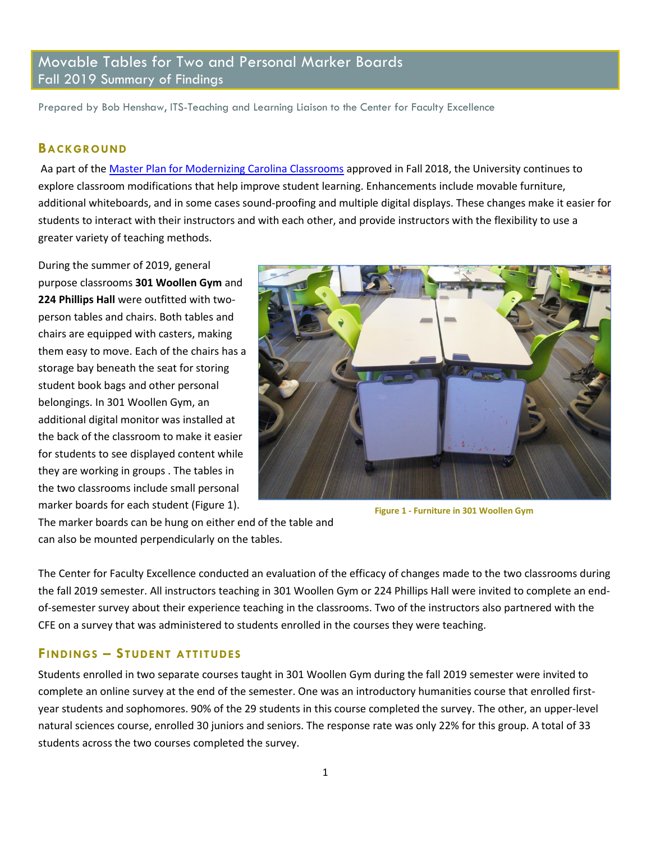# Movable Tables for Two and Personal Marker Boards Fall 2019 Summary of Findings

Prepared by Bob Henshaw, ITS-Teaching and Learning Liaison to the Center for Faculty Excellence

#### **BACKGROUND**

Aa part of th[e Master Plan for Modernizing Carolina Classrooms](https://provost.unc.edu/wp-content/uploads/2018/12/Classrooms-Memo-and-Master-Plan-to-Provost-June-2018.pdf) approved in Fall 2018, the University continues to explore classroom modifications that help improve student learning. Enhancements include movable furniture, additional whiteboards, and in some cases sound-proofing and multiple digital displays. These changes make it easier for students to interact with their instructors and with each other, and provide instructors with the flexibility to use a greater variety of teaching methods.

During the summer of 2019, general purpose classrooms **301 Woollen Gym** and **224 Phillips Hall** were outfitted with twoperson tables and chairs. Both tables and chairs are equipped with casters, making them easy to move. Each of the chairs has a storage bay beneath the seat for storing student book bags and other personal belongings. In 301 Woollen Gym, an additional digital monitor was installed at the back of the classroom to make it easier for students to see displayed content while they are working in groups . The tables in the two classrooms include small personal marker boards for each student (Figure 1).



**Figure 1 - Furniture in 301 Woollen Gym**

The marker boards can be hung on either end of the table and can also be mounted perpendicularly on the tables.

The Center for Faculty Excellence conducted an evaluation of the efficacy of changes made to the two classrooms during the fall 2019 semester. All instructors teaching in 301 Woollen Gym or 224 Phillips Hall were invited to complete an endof-semester survey about their experience teaching in the classrooms. Two of the instructors also partnered with the CFE on a survey that was administered to students enrolled in the courses they were teaching.

#### **FINDINGS – STUDENT ATTITUDES**

Students enrolled in two separate courses taught in 301 Woollen Gym during the fall 2019 semester were invited to complete an online survey at the end of the semester. One was an introductory humanities course that enrolled firstyear students and sophomores. 90% of the 29 students in this course completed the survey. The other, an upper-level natural sciences course, enrolled 30 juniors and seniors. The response rate was only 22% for this group. A total of 33 students across the two courses completed the survey.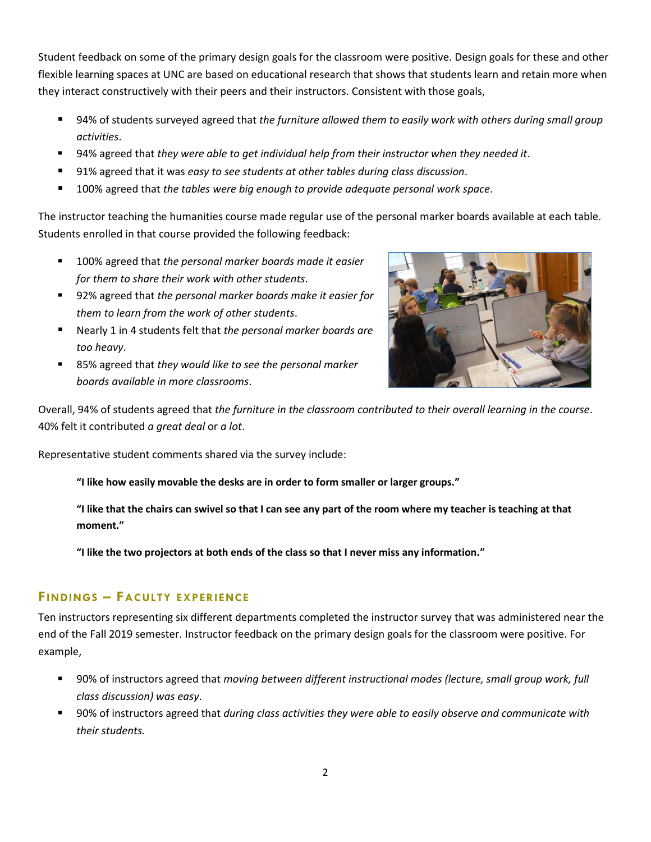Student feedback on some of the primary design goals for the classroom were positive. Design goals for these and other flexible learning spaces at UNC are based on educational research that shows that students learn and retain more when they interact constructively with their peers and their instructors. Consistent with those goals,

- 94% of students surveyed agreed that *the furniture allowed them to easily work with others during small group activities*.
- 94% agreed that *they were able to get individual help from their instructor when they needed it*.
- 91% agreed that it was *easy to see students at other tables during class discussion*.
- 100% agreed that *the tables were big enough to provide adequate personal work space*.

The instructor teaching the humanities course made regular use of the personal marker boards available at each table. Students enrolled in that course provided the following feedback:

- 100% agreed that the personal marker boards made it easier *for them to share their work with other students*.
- 92% agreed that *the personal marker boards make it easier for them to learn from the work of other students*.
- Nearly 1 in 4 students felt that *the personal marker boards are too heavy*.
- 85% agreed that *they would like to see the personal marker boards available in more classrooms*.



Overall, 94% of students agreed that *the furniture in the classroom contributed to their overall learning in the course*. 40% felt it contributed *a great deal* or *a lot*.

Representative student comments shared via the survey include:

**"I like how easily movable the desks are in order to form smaller or larger groups."**

**"I like that the chairs can swivel so that I can see any part of the room where my teacher is teaching at that moment."**

**"I like the two projectors at both ends of the class so that I never miss any information."**

### **FINDINGS – FACULTY EXPERIENCE**

Ten instructors representing six different departments completed the instructor survey that was administered near the end of the Fall 2019 semester. Instructor feedback on the primary design goals for the classroom were positive. For example,

- 90% of instructors agreed that *moving between different instructional modes (lecture, small group work, full class discussion) was easy*.
- 90% of instructors agreed that *during class activities they were able to easily observe and communicate with their students.*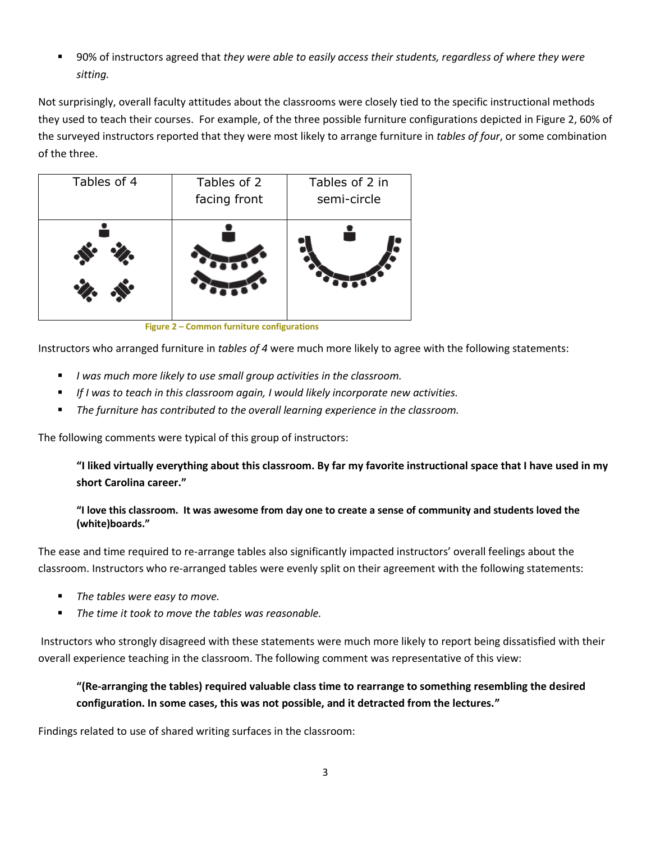■ 90% of instructors agreed that *they were able to easily access their students, regardless of where they were sitting.*

Not surprisingly, overall faculty attitudes about the classrooms were closely tied to the specific instructional methods they used to teach their courses. For example, of the three possible furniture configurations depicted in Figure 2, 60% of the surveyed instructors reported that they were most likely to arrange furniture in *tables of four*, or some combination of the three.

| Tables of 4 | Tables of 2<br>facing front | Tables of 2 in<br>semi-circle |
|-------------|-----------------------------|-------------------------------|
|             |                             |                               |

 **Figure 2 – Common furniture configurations**

Instructors who arranged furniture in *tables of 4* were much more likely to agree with the following statements:

- *I was much more likely to use small group activities in the classroom.*
- *If I was to teach in this classroom again, I would likely incorporate new activities.*
- *The furniture has contributed to the overall learning experience in the classroom.*

The following comments were typical of this group of instructors:

**"I liked virtually everything about this classroom. By far my favorite instructional space that I have used in my short Carolina career."**

### **"I love this classroom. It was awesome from day one to create a sense of community and students loved the (white)boards."**

The ease and time required to re-arrange tables also significantly impacted instructors' overall feelings about the classroom. Instructors who re-arranged tables were evenly split on their agreement with the following statements:

- *The tables were easy to move.*
- *The time it took to move the tables was reasonable.*

Instructors who strongly disagreed with these statements were much more likely to report being dissatisfied with their overall experience teaching in the classroom. The following comment was representative of this view:

**"(Re-arranging the tables) required valuable class time to rearrange to something resembling the desired configuration. In some cases, this was not possible, and it detracted from the lectures."**

Findings related to use of shared writing surfaces in the classroom: